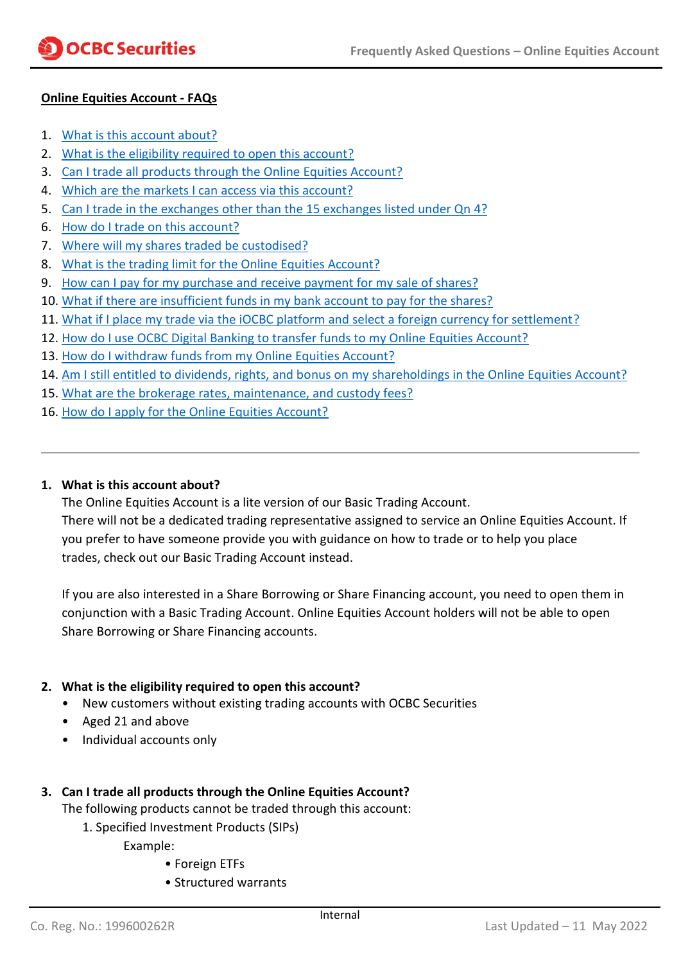# **Online Equities Account - FAQs**

- 1. [What is this account about?](#page-0-0)
- 2. [What is the eligibility required to open this account?](#page-0-1)
- 3. [Can I trade all products through the Online Equities Account?](#page-0-2)
- 4. [Which are the markets I can access via this account?](#page-1-0)
- 5. [Can I trade in the exchanges other than the 15 exchanges listed under Qn](#page-1-1) 4?
- 6. [How do I trade on this account?](#page-1-2)
- 7. [Where will my shares traded be custodised?](#page-2-0)
- 8. [What is the trading limit for the Online Equities Account?](#page-2-1)
- 9. [How can I pay for my purchase and receive payment for my sale of shares?](#page-2-2)
- 10. [What if there are insufficient funds in my bank account to pay for the shares?](#page-3-0)
- 11. [What if I place my trade via the iOCBC platform and select a foreign currency for settlement?](#page-3-1)
- 12. [How do I use OCBC Digital Banking to transfer funds to my Online Equities Account?](#page-3-1)
- 13. How do I withdraw funds from my Online Equities Account?
- 14. Am I still entitled to dividends, rights, and bonus on my shareholdings in the Online Equities Account?
- 15. [What are the brokerage rates, maintenance, and custody fees?](#page-3-2)
- 16. [How do I apply for the Online Equities Account?](#page-5-0)

#### <span id="page-0-0"></span>**1. What is this account about?**

The Online Equities Account is a lite version of our Basic Trading Account. There will not be a dedicated trading representative assigned to service an Online Equities Account. If you prefer to have someone provide you with guidance on how to trade or to help you place trades, check out our Basic Trading Account instead.

If you are also interested in a Share Borrowing or Share Financing account, you need to open them in conjunction with a Basic Trading Account. Online Equities Account holders will not be able to open Share Borrowing or Share Financing accounts.

#### <span id="page-0-1"></span>**2. What is the eligibility required to open this account?**

- New customers without existing trading accounts with OCBC Securities
- Aged 21 and above
- Individual accounts only

# <span id="page-0-2"></span>**3. Can I trade all products through the Online Equities Account?**

The following products cannot be traded through this account:

1. Specified Investment Products (SIPs)

Example:

- Foreign ETFs
- Structured warrants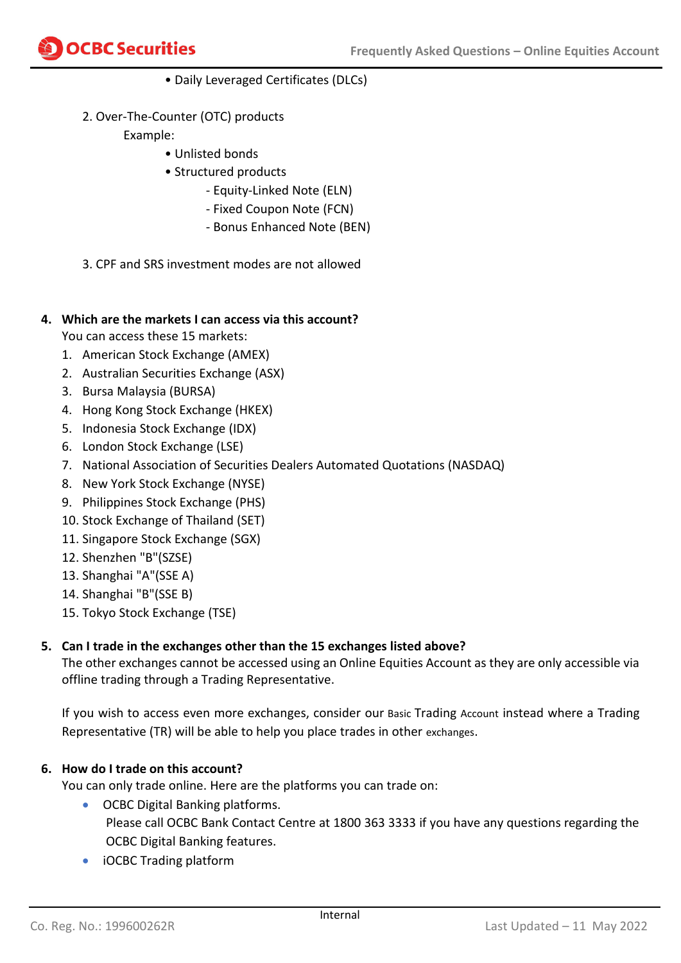

- Daily Leveraged Certificates (DLCs)
- 2. Over-The-Counter (OTC) products
	- Example:
		- Unlisted bonds
		- Structured products
			- Equity-Linked Note (ELN)
			- Fixed Coupon Note (FCN)
			- Bonus Enhanced Note (BEN)
- 3. CPF and SRS investment modes are not allowed

# <span id="page-1-0"></span>**4. Which are the markets I can access via this account?**

You can access these 15 markets:

- 1. American Stock Exchange (AMEX)
- 2. Australian Securities Exchange (ASX)
- 3. Bursa Malaysia (BURSA)
- 4. Hong Kong Stock Exchange (HKEX)
- 5. Indonesia Stock Exchange (IDX)
- 6. London Stock Exchange (LSE)
- 7. National Association of Securities Dealers Automated Quotations (NASDAQ)
- 8. New York Stock Exchange (NYSE)
- 9. Philippines Stock Exchange (PHS)
- 10. Stock Exchange of Thailand (SET)
- 11. Singapore Stock Exchange (SGX)
- 12. Shenzhen "B"(SZSE)
- 13. Shanghai "A"(SSE A)
- 14. Shanghai "B"(SSE B)
- 15. Tokyo Stock Exchange (TSE)

#### <span id="page-1-1"></span>**5. Can I trade in the exchanges other than the 15 exchanges listed above?**

The other exchanges cannot be accessed using an Online Equities Account as they are only accessible via offline trading through a Trading Representative.

If you wish to access even more exchanges, consider our Basic Trading Account instead where a Trading Representative (TR) will be able to help you place trades in other exchanges.

#### <span id="page-1-2"></span>**6. How do I trade on this account?**

You can only trade online. Here are the platforms you can trade on:

- OCBC Digital Banking platforms. Please call OCBC Bank Contact Centre at 1800 363 3333 if you have any questions regarding the OCBC Digital Banking features.
- iOCBC Trading platform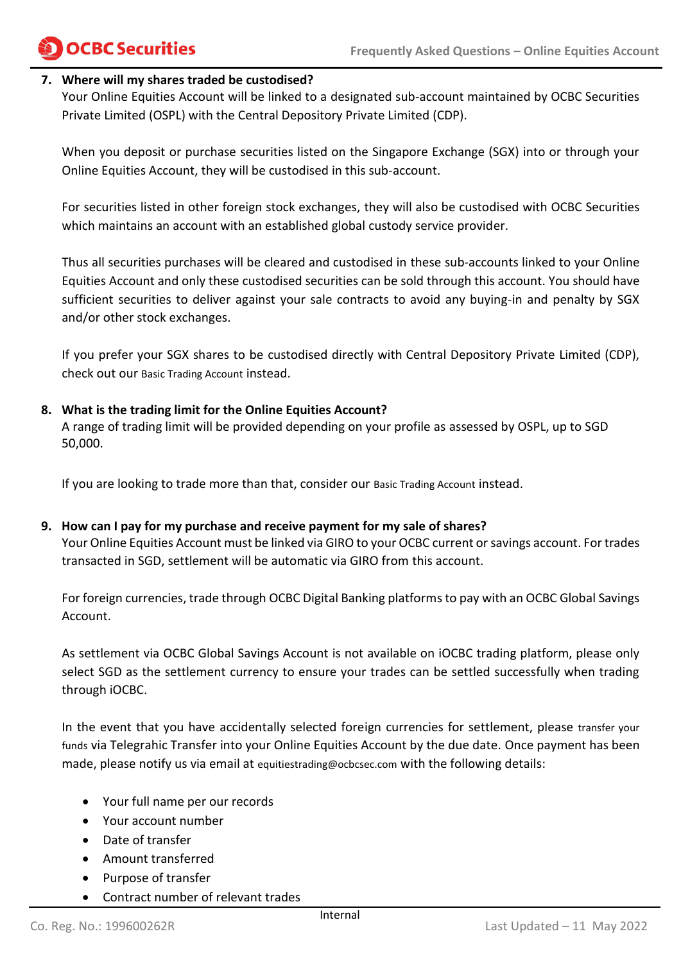# **OCBC Securities**

#### <span id="page-2-0"></span>**7. Where will my shares traded be custodised?**

Your Online Equities Account will be linked to a designated sub-account maintained by OCBC Securities Private Limited (OSPL) with the Central Depository Private Limited (CDP).

When you deposit or purchase securities listed on the Singapore Exchange (SGX) into or through your Online Equities Account, they will be custodised in this sub-account.

For securities listed in other foreign stock exchanges, they will also be custodised with OCBC Securities which maintains an account with an established global custody service provider.

Thus all securities purchases will be cleared and custodised in these sub-accounts linked to your Online Equities Account and only these custodised securities can be sold through this account. You should have sufficient securities to deliver against your sale contracts to avoid any buying-in and penalty by SGX and/or other stock exchanges.

If you prefer your SGX shares to be custodised directly with Central Depository Private Limited (CDP), check out our Basic Trading Account instead.

### <span id="page-2-1"></span>**8. What is the trading limit for the Online Equities Account?**

A range of trading limit will be provided depending on your profile as assessed by OSPL, up to SGD 50,000.

If you are looking to trade more than that, consider our Basic Trading Account instead.

#### <span id="page-2-2"></span>**9. How can I pay for my purchase and receive payment for my sale of shares?**

Your Online Equities Account must be linked via GIRO to your OCBC current or savings account. For trades transacted in SGD, settlement will be automatic via GIRO from this account.

For foreign currencies, trade through OCBC Digital Banking platformsto pay with an OCBC Global Savings Account.

As settlement via OCBC Global Savings Account is not available on iOCBC trading platform, please only select SGD as the settlement currency to ensure your trades can be settled successfully when trading through iOCBC.

In the event that you have accidentally selected foreign currencies for settlement, please transfer your funds via Telegrahic Transfer into your Online Equities Account by the due date. Once payment has been made, please notify us via email at equitiestrading@ocbcsec.com with the following details:

- Your full name per our records
- Your account number
- Date of transfer
- Amount transferred
- Purpose of transfer
- Contract number of relevant trades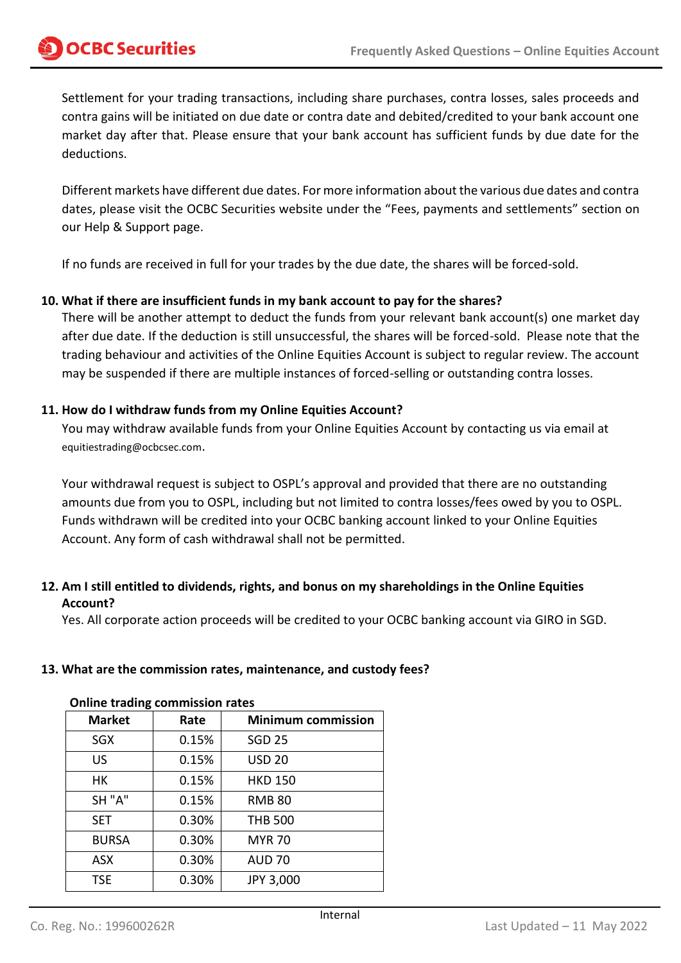<span id="page-3-1"></span>Settlement for your trading transactions, including share purchases, contra losses, sales proceeds and contra gains will be initiated on due date or contra date and debited/credited to your bank account one market day after that. Please ensure that your bank account has sufficient funds by due date for the deductions.

Different markets have different due dates. For more information about the various due dates and contra dates, please visit the OCBC Securities website under the "Fees, payments and settlements" section on our Help & Support page.

If no funds are received in full for your trades by the due date, the shares will be forced-sold.

#### <span id="page-3-0"></span>**10. What if there are insufficient funds in my bank account to pay for the shares?**

There will be another attempt to deduct the funds from your relevant bank account(s) one market day after due date. If the deduction is still unsuccessful, the shares will be forced-sold. Please note that the trading behaviour and activities of the Online Equities Account is subject to regular review. The account may be suspended if there are multiple instances of forced-selling or outstanding contra losses.

#### **11. How do I withdraw funds from my Online Equities Account?**

You may withdraw available funds from your Online Equities Account by contacting us via email at equitiestrading@ocbcsec.com.

Your withdrawal request is subject to OSPL's approval and provided that there are no outstanding amounts due from you to OSPL, including but not limited to contra losses/fees owed by you to OSPL. Funds withdrawn will be credited into your OCBC banking account linked to your Online Equities Account. Any form of cash withdrawal shall not be permitted.

# **12. Am I still entitled to dividends, rights, and bonus on my shareholdings in the Online Equities Account?**

Yes. All corporate action proceeds will be credited to your OCBC banking account via GIRO in SGD.

#### <span id="page-3-2"></span>**13. What are the commission rates, maintenance, and custody fees?**

| <b>Market</b> | Rate  | <b>Minimum commission</b> |
|---------------|-------|---------------------------|
| <b>SGX</b>    | 0.15% | <b>SGD 25</b>             |
| US            | 0.15% | <b>USD 20</b>             |
| HK            | 0.15% | <b>HKD 150</b>            |
| SH "A"        | 0.15% | <b>RMB 80</b>             |
| <b>SET</b>    | 0.30% | <b>THB 500</b>            |
| <b>BURSA</b>  | 0.30% | <b>MYR 70</b>             |
| <b>ASX</b>    | 0.30% | <b>AUD 70</b>             |
| <b>TSE</b>    | 0.30% | JPY 3,000                 |

# **Online trading commission rates**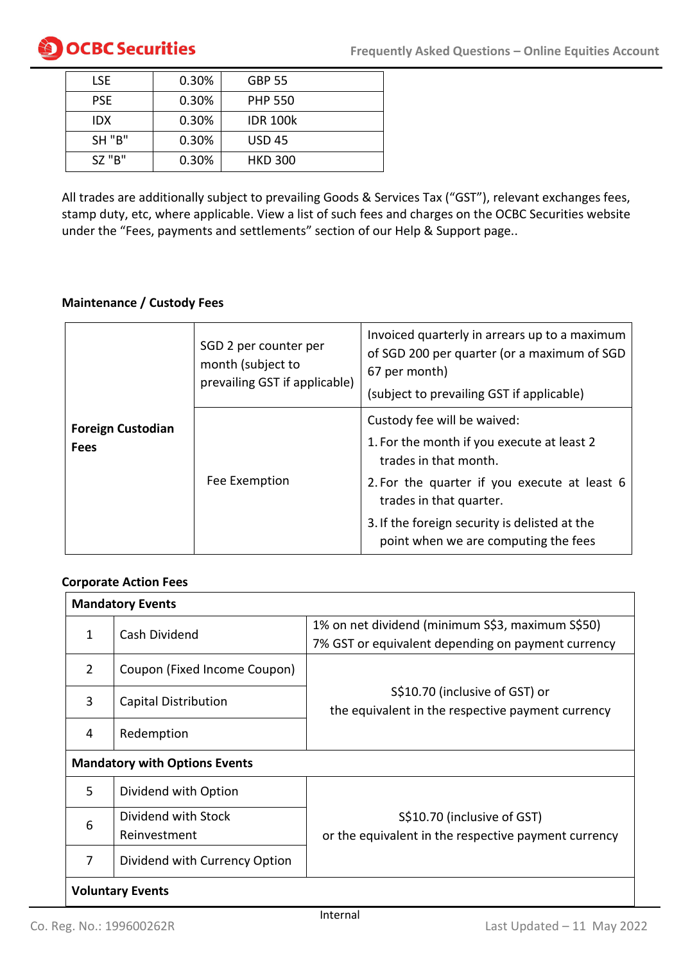| LSE.          | 0.30% | <b>GBP 55</b>   |
|---------------|-------|-----------------|
| <b>PSE</b>    | 0.30% | <b>PHP 550</b>  |
| IDX           | 0.30% | <b>IDR 100k</b> |
| <b>SH "B"</b> | 0.30% | <b>USD 45</b>   |
| $SZ$ "B"      | 0.30% | <b>HKD 300</b>  |

All trades are additionally subject to prevailing Goods & Services Tax ("GST"), relevant exchanges fees, stamp duty, etc, where applicable. View a list of such fees and charges on the OCBC Securities website under the "Fees, payments and settlements" section of our Help & Support page..

### **Maintenance / Custody Fees**

| <b>Foreign Custodian</b><br><b>Fees</b> | SGD 2 per counter per<br>month (subject to<br>prevailing GST if applicable) | Invoiced quarterly in arrears up to a maximum<br>of SGD 200 per quarter (or a maximum of SGD<br>67 per month)<br>(subject to prevailing GST if applicable) |  |
|-----------------------------------------|-----------------------------------------------------------------------------|------------------------------------------------------------------------------------------------------------------------------------------------------------|--|
|                                         |                                                                             | Custody fee will be waived:<br>1. For the month if you execute at least 2<br>trades in that month.                                                         |  |
|                                         | Fee Exemption                                                               | 2. For the quarter if you execute at least 6<br>trades in that quarter.                                                                                    |  |
|                                         |                                                                             | 3. If the foreign security is delisted at the<br>point when we are computing the fees                                                                      |  |

# **Corporate Action Fees**

|                         | <b>Mandatory Events</b>              |                                                                                     |  |  |
|-------------------------|--------------------------------------|-------------------------------------------------------------------------------------|--|--|
| 1                       | Cash Dividend                        | 1% on net dividend (minimum S\$3, maximum S\$50)                                    |  |  |
|                         |                                      | 7% GST or equivalent depending on payment currency                                  |  |  |
| $\overline{2}$          | Coupon (Fixed Income Coupon)         |                                                                                     |  |  |
| 3                       | <b>Capital Distribution</b>          | S\$10.70 (inclusive of GST) or<br>the equivalent in the respective payment currency |  |  |
| 4                       | Redemption                           |                                                                                     |  |  |
|                         | <b>Mandatory with Options Events</b> |                                                                                     |  |  |
| 5                       | Dividend with Option                 |                                                                                     |  |  |
| 6                       | Dividend with Stock                  | S\$10.70 (inclusive of GST)                                                         |  |  |
|                         | Reinvestment                         | or the equivalent in the respective payment currency                                |  |  |
| 7                       | Dividend with Currency Option        |                                                                                     |  |  |
| <b>Voluntary Events</b> |                                      |                                                                                     |  |  |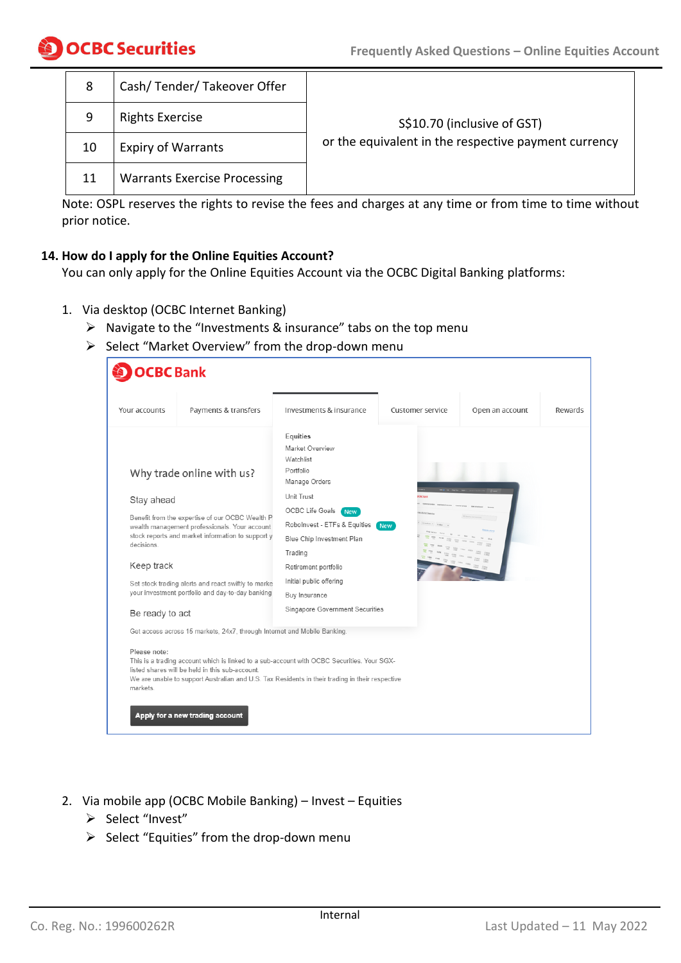| 8  | Cash/Tender/Takeover Offer          |                                                      |  |
|----|-------------------------------------|------------------------------------------------------|--|
| 9  | <b>Rights Exercise</b>              | S\$10.70 (inclusive of GST)                          |  |
| 10 | <b>Expiry of Warrants</b>           | or the equivalent in the respective payment currency |  |
| 11 | <b>Warrants Exercise Processing</b> |                                                      |  |

Note: OSPL reserves the rights to revise the fees and charges at any time or from time to time without prior notice.

#### <span id="page-5-0"></span>**14. How do I apply for the Online Equities Account?**

You can only apply for the Online Equities Account via the OCBC Digital Banking platforms:

- 1. Via desktop (OCBC Internet Banking)
	- $\triangleright$  Navigate to the "Investments & insurance" tabs on the top menu
	- ➢ Select "Market Overview" from the drop-down menu

| <b>OCBC</b> Bank                                                                       |                                                                                                                                                                                                                                                                                                                                               |                                                                                                                                                                                                                                                                                                      |                  |                 |         |
|----------------------------------------------------------------------------------------|-----------------------------------------------------------------------------------------------------------------------------------------------------------------------------------------------------------------------------------------------------------------------------------------------------------------------------------------------|------------------------------------------------------------------------------------------------------------------------------------------------------------------------------------------------------------------------------------------------------------------------------------------------------|------------------|-----------------|---------|
| Your accounts                                                                          | Payments & transfers                                                                                                                                                                                                                                                                                                                          | Investments & insurance                                                                                                                                                                                                                                                                              | Customer service | Open an account | Rewards |
| Why trade online with us?<br>Stay ahead<br>decisions.<br>Keep track<br>Be ready to act | Benefit from the expertise of our OCBC Wealth P.<br>wealth management professionals. Your account<br>stock reports and market information to support y<br>Set stock trading alerts and react swiftly to marke<br>your investment portfolio and day-to-day banking<br>Get access across 15 markets, 24x7, through Internet and Mobile Banking. | Equities<br>Market Overview<br>Watchlist<br>Portfolio<br>Manage Orders<br>Unit Trust<br>OCBC Life Goals<br><b>New</b><br>Robolnvest - ETFs & Equities<br>Blue Chip Investment Plan<br>Trading<br>Retirement portfolio<br>Initial public offering<br>Buy Insurance<br>Singapore Government Securities | <b>New</b>       |                 |         |
| Please note:<br>listed shares will be held in this sub-account.<br>markets.            |                                                                                                                                                                                                                                                                                                                                               | This is a trading account which is linked to a sub-account with OCBC Securities. Your SGX-<br>We are unable to support Australian and U.S. Tax Residents in their trading in their respective                                                                                                        |                  |                 |         |
| Apply for a new trading account                                                        |                                                                                                                                                                                                                                                                                                                                               |                                                                                                                                                                                                                                                                                                      |                  |                 |         |

- 2. Via mobile app (OCBC Mobile Banking) Invest Equities
	- ➢ Select "Invest"
	- ➢ Select "Equities" from the drop-down menu